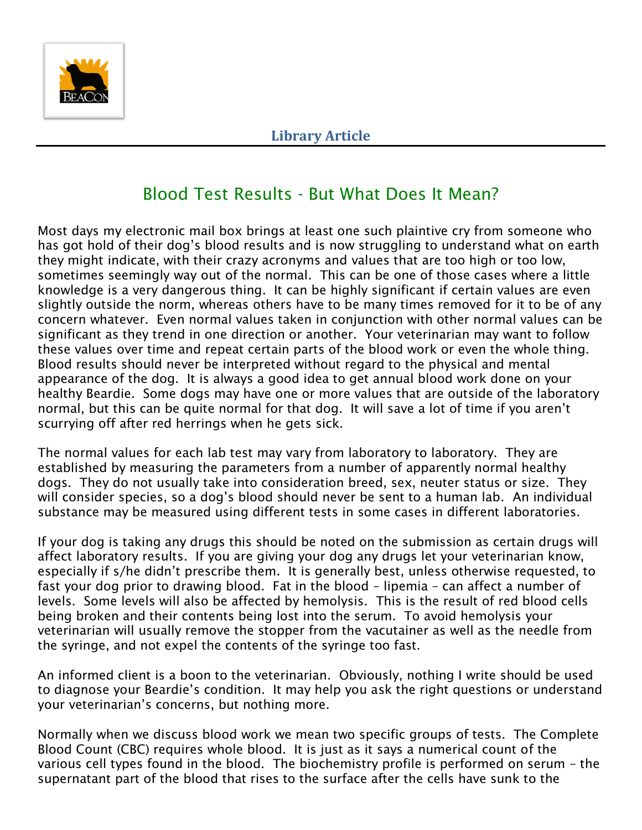

# Blood Test Results - But What Does It Mean?

Most days my electronic mail box brings at least one such plaintive cry from someone who has got hold of their dog's blood results and is now struggling to understand what on earth they might indicate, with their crazy acronyms and values that are too high or too low, sometimes seemingly way out of the normal. This can be one of those cases where a little knowledge is a very dangerous thing. It can be highly significant if certain values are even slightly outside the norm, whereas others have to be many times removed for it to be of any concern whatever. Even normal values taken in conjunction with other normal values can be significant as they trend in one direction or another. Your veterinarian may want to follow these values over time and repeat certain parts of the blood work or even the whole thing. Blood results should never be interpreted without regard to the physical and mental appearance of the dog. It is always a good idea to get annual blood work done on your healthy Beardie. Some dogs may have one or more values that are outside of the laboratory normal, but this can be quite normal for that dog. It will save a lot of time if you aren't scurrying off after red herrings when he gets sick.

The normal values for each lab test may vary from laboratory to laboratory. They are established by measuring the parameters from a number of apparently normal healthy dogs. They do not usually take into consideration breed, sex, neuter status or size. They will consider species, so a dog's blood should never be sent to a human lab. An individual substance may be measured using different tests in some cases in different laboratories.

If your dog is taking any drugs this should be noted on the submission as certain drugs will affect laboratory results. If you are giving your dog any drugs let your veterinarian know, especially if s/he didn't prescribe them. It is generally best, unless otherwise requested, to fast your dog prior to drawing blood. Fat in the blood – lipemia – can affect a number of levels. Some levels will also be affected by hemolysis. This is the result of red blood cells being broken and their contents being lost into the serum. To avoid hemolysis your veterinarian will usually remove the stopper from the vacutainer as well as the needle from the syringe, and not expel the contents of the syringe too fast.

An informed client is a boon to the veterinarian. Obviously, nothing I write should be used to diagnose your Beardie's condition. It may help you ask the right questions or understand your veterinarian's concerns, but nothing more.

Normally when we discuss blood work we mean two specific groups of tests. The Complete Blood Count (CBC) requires whole blood. It is just as it says a numerical count of the various cell types found in the blood. The biochemistry profile is performed on serum – the supernatant part of the blood that rises to the surface after the cells have sunk to the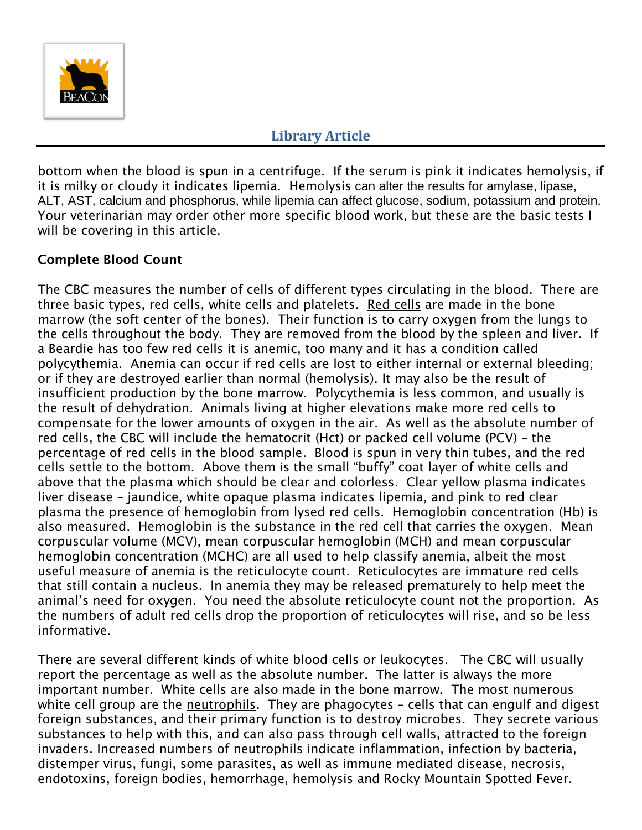

bottom when the blood is spun in a centrifuge. If the serum is pink it indicates hemolysis, if it is milky or cloudy it indicates lipemia. Hemolysis can alter the results for amylase, lipase, ALT, AST, calcium and phosphorus, while lipemia can affect glucose, sodium, potassium and protein. Your veterinarian may order other more specific blood work, but these are the basic tests I will be covering in this article.

### **Complete Blood Count**

The CBC measures the number of cells of different types circulating in the blood. There are three basic types, red cells, white cells and platelets. Red cells are made in the bone marrow (the soft center of the bones). Their function is to carry oxygen from the lungs to the cells throughout the body. They are removed from the blood by the spleen and liver. If a Beardie has too few red cells it is anemic, too many and it has a condition called polycythemia. Anemia can occur if red cells are lost to either internal or external bleeding; or if they are destroyed earlier than normal (hemolysis). It may also be the result of insufficient production by the bone marrow. Polycythemia is less common, and usually is the result of dehydration. Animals living at higher elevations make more red cells to compensate for the lower amounts of oxygen in the air. As well as the absolute number of red cells, the CBC will include the hematocrit (Hct) or packed cell volume (PCV) – the percentage of red cells in the blood sample. Blood is spun in very thin tubes, and the red cells settle to the bottom. Above them is the small "buffy" coat layer of white cells and above that the plasma which should be clear and colorless. Clear yellow plasma indicates liver disease – jaundice, white opaque plasma indicates lipemia, and pink to red clear plasma the presence of hemoglobin from lysed red cells. Hemoglobin concentration (Hb) is also measured. Hemoglobin is the substance in the red cell that carries the oxygen. Mean corpuscular volume (MCV), mean corpuscular hemoglobin (MCH) and mean corpuscular hemoglobin concentration (MCHC) are all used to help classify anemia, albeit the most useful measure of anemia is the reticulocyte count. Reticulocytes are immature red cells that still contain a nucleus. In anemia they may be released prematurely to help meet the animal's need for oxygen. You need the absolute reticulocyte count not the proportion. As the numbers of adult red cells drop the proportion of reticulocytes will rise, and so be less informative.

There are several different kinds of white blood cells or leukocytes. The CBC will usually report the percentage as well as the absolute number. The latter is always the more important number. White cells are also made in the bone marrow. The most numerous white cell group are the neutrophils. They are phagocytes – cells that can engulf and digest foreign substances, and their primary function is to destroy microbes. They secrete various substances to help with this, and can also pass through cell walls, attracted to the foreign invaders. Increased numbers of neutrophils indicate inflammation, infection by bacteria, distemper virus, fungi, some parasites, as well as immune mediated disease, necrosis, endotoxins, foreign bodies, hemorrhage, hemolysis and Rocky Mountain Spotted Fever.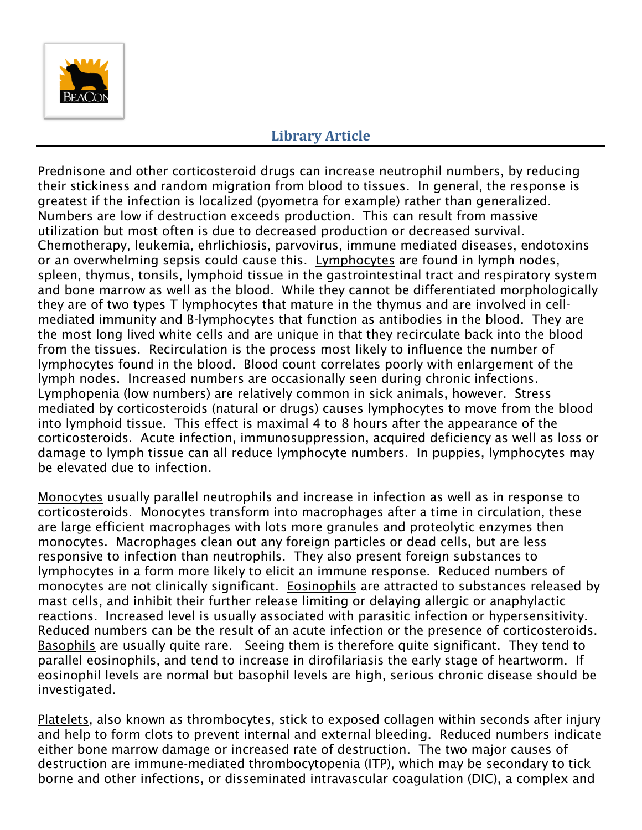

Prednisone and other corticosteroid drugs can increase neutrophil numbers, by reducing their stickiness and random migration from blood to tissues. In general, the response is greatest if the infection is localized (pyometra for example) rather than generalized. Numbers are low if destruction exceeds production. This can result from massive utilization but most often is due to decreased production or decreased survival. Chemotherapy, leukemia, ehrlichiosis, parvovirus, immune mediated diseases, endotoxins or an overwhelming sepsis could cause this. Lymphocytes are found in lymph nodes, spleen, thymus, tonsils, lymphoid tissue in the gastrointestinal tract and respiratory system and bone marrow as well as the blood. While they cannot be differentiated morphologically they are of two types T lymphocytes that mature in the thymus and are involved in cellmediated immunity and B-lymphocytes that function as antibodies in the blood. They are the most long lived white cells and are unique in that they recirculate back into the blood from the tissues. Recirculation is the process most likely to influence the number of lymphocytes found in the blood. Blood count correlates poorly with enlargement of the lymph nodes. Increased numbers are occasionally seen during chronic infections. Lymphopenia (low numbers) are relatively common in sick animals, however. Stress mediated by corticosteroids (natural or drugs) causes lymphocytes to move from the blood into lymphoid tissue. This effect is maximal 4 to 8 hours after the appearance of the corticosteroids. Acute infection, immunosuppression, acquired deficiency as well as loss or damage to lymph tissue can all reduce lymphocyte numbers. In puppies, lymphocytes may be elevated due to infection.

Monocytes usually parallel neutrophils and increase in infection as well as in response to corticosteroids. Monocytes transform into macrophages after a time in circulation, these are large efficient macrophages with lots more granules and proteolytic enzymes then monocytes. Macrophages clean out any foreign particles or dead cells, but are less responsive to infection than neutrophils. They also present foreign substances to lymphocytes in a form more likely to elicit an immune response. Reduced numbers of monocytes are not clinically significant. Eosinophils are attracted to substances released by mast cells, and inhibit their further release limiting or delaying allergic or anaphylactic reactions. Increased level is usually associated with parasitic infection or hypersensitivity. Reduced numbers can be the result of an acute infection or the presence of corticosteroids. Basophils are usually quite rare. Seeing them is therefore quite significant. They tend to parallel eosinophils, and tend to increase in dirofilariasis the early stage of heartworm. If eosinophil levels are normal but basophil levels are high, serious chronic disease should be investigated.

Platelets, also known as thrombocytes, stick to exposed collagen within seconds after injury and help to form clots to prevent internal and external bleeding. Reduced numbers indicate either bone marrow damage or increased rate of destruction. The two major causes of destruction are immune-mediated thrombocytopenia (ITP), which may be secondary to tick borne and other infections, or disseminated intravascular coagulation (DIC), a complex and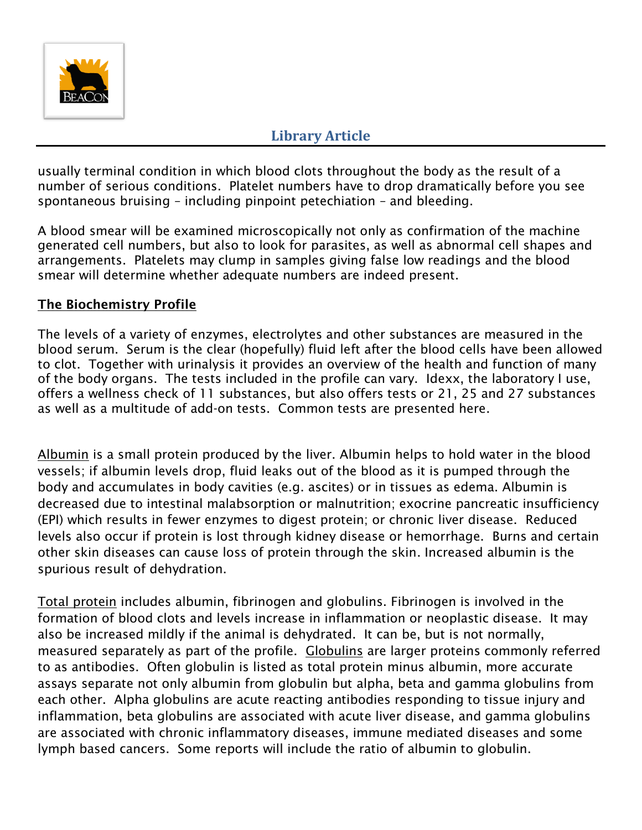

usually terminal condition in which blood clots throughout the body as the result of a number of serious conditions. Platelet numbers have to drop dramatically before you see spontaneous bruising – including pinpoint petechiation – and bleeding.

A blood smear will be examined microscopically not only as confirmation of the machine generated cell numbers, but also to look for parasites, as well as abnormal cell shapes and arrangements. Platelets may clump in samples giving false low readings and the blood smear will determine whether adequate numbers are indeed present.

### **The Biochemistry Profile**

The levels of a variety of enzymes, electrolytes and other substances are measured in the blood serum. Serum is the clear (hopefully) fluid left after the blood cells have been allowed to clot. Together with urinalysis it provides an overview of the health and function of many of the body organs. The tests included in the profile can vary. Idexx, the laboratory I use, offers a wellness check of 11 substances, but also offers tests or 21, 25 and 27 substances as well as a multitude of add-on tests. Common tests are presented here.

Albumin is a small protein produced by the liver. Albumin helps to hold water in the blood vessels; if albumin levels drop, fluid leaks out of the blood as it is pumped through the body and accumulates in body cavities (e.g. ascites) or in tissues as edema. Albumin is decreased due to intestinal malabsorption or malnutrition; exocrine pancreatic insufficiency (EPI) which results in fewer enzymes to digest protein; or chronic liver disease. Reduced levels also occur if protein is lost through kidney disease or hemorrhage. Burns and certain other skin diseases can cause loss of protein through the skin. Increased albumin is the spurious result of dehydration.

Total protein includes albumin, fibrinogen and globulins. Fibrinogen is involved in the formation of blood clots and levels increase in inflammation or neoplastic disease. It may also be increased mildly if the animal is dehydrated. It can be, but is not normally, measured separately as part of the profile. Globulins are larger proteins commonly referred to as antibodies. Often globulin is listed as total protein minus albumin, more accurate assays separate not only albumin from globulin but alpha, beta and gamma globulins from each other. Alpha globulins are acute reacting antibodies responding to tissue injury and inflammation, beta globulins are associated with acute liver disease, and gamma globulins are associated with chronic inflammatory diseases, immune mediated diseases and some lymph based cancers. Some reports will include the ratio of albumin to globulin.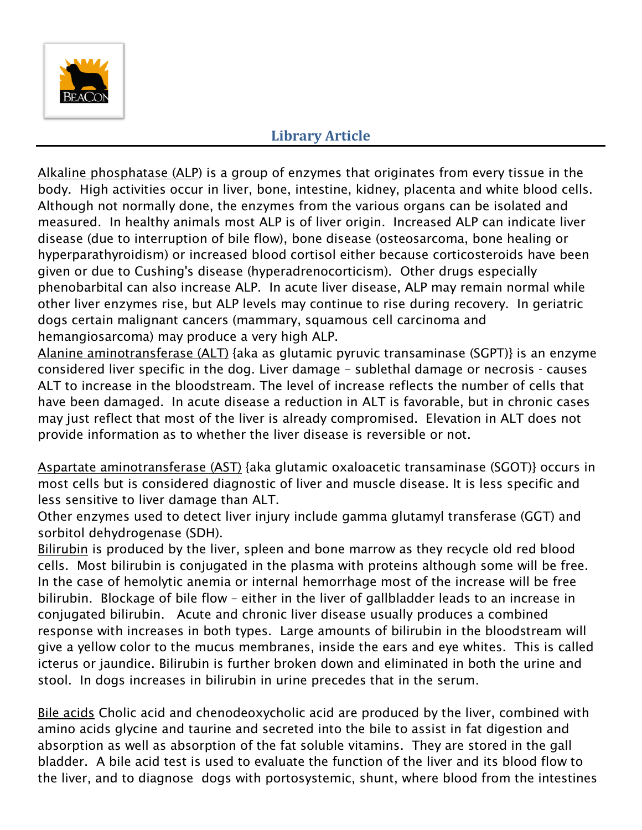

Alkaline phosphatase (ALP) is a group of enzymes that originates from every tissue in the body. High activities occur in liver, bone, intestine, kidney, placenta and white blood cells. Although not normally done, the enzymes from the various organs can be isolated and measured. In healthy animals most ALP is of liver origin. Increased ALP can indicate liver disease (due to interruption of bile flow), bone disease (osteosarcoma, bone healing or hyperparathyroidism) or increased blood cortisol either because corticosteroids have been given or due to Cushing's disease (hyperadrenocorticism). Other drugs especially phenobarbital can also increase ALP. In acute liver disease, ALP may remain normal while other liver enzymes rise, but ALP levels may continue to rise during recovery. In geriatric dogs certain malignant cancers (mammary, squamous cell carcinoma and hemangiosarcoma) may produce a very high ALP.

Alanine aminotransferase (ALT) {aka as glutamic pyruvic transaminase (SGPT)} is an enzyme considered liver specific in the dog. Liver damage – sublethal damage or necrosis - causes ALT to increase in the bloodstream. The level of increase reflects the number of cells that have been damaged. In acute disease a reduction in ALT is favorable, but in chronic cases may just reflect that most of the liver is already compromised. Elevation in ALT does not provide information as to whether the liver disease is reversible or not.

Aspartate aminotransferase (AST) {aka glutamic oxaloacetic transaminase (SGOT)} occurs in most cells but is considered diagnostic of liver and muscle disease. It is less specific and less sensitive to liver damage than ALT.

Other enzymes used to detect liver injury include gamma glutamyl transferase (GGT) and sorbitol dehydrogenase (SDH).

Bilirubin is produced by the liver, spleen and bone marrow as they recycle old red blood cells. Most bilirubin is conjugated in the plasma with proteins although some will be free. In the case of hemolytic anemia or internal hemorrhage most of the increase will be free bilirubin. Blockage of bile flow – either in the liver of gallbladder leads to an increase in conjugated bilirubin. Acute and chronic liver disease usually produces a combined response with increases in both types. Large amounts of bilirubin in the bloodstream will give a yellow color to the mucus membranes, inside the ears and eye whites. This is called icterus or jaundice. Bilirubin is further broken down and eliminated in both the urine and stool. In dogs increases in bilirubin in urine precedes that in the serum.

Bile acids Cholic acid and chenodeoxycholic acid are produced by the liver, combined with amino acids glycine and taurine and secreted into the bile to assist in fat digestion and absorption as well as absorption of the fat soluble vitamins. They are stored in the gall bladder. A bile acid test is used to evaluate the function of the liver and its blood flow to the liver, and to diagnose dogs with portosystemic, shunt, where blood from the intestines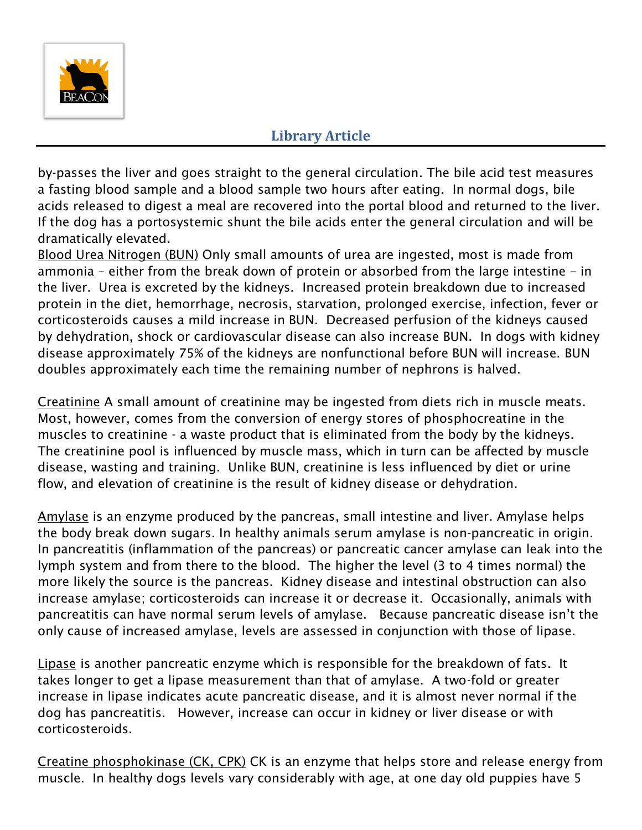

by-passes the liver and goes straight to the general circulation. The bile acid test measures a fasting blood sample and a blood sample two hours after eating. In normal dogs, bile acids released to digest a meal are recovered into the portal blood and returned to the liver. If the dog has a portosystemic shunt the bile acids enter the general circulation and will be dramatically elevated.

Blood Urea Nitrogen (BUN) Only small amounts of urea are ingested, most is made from ammonia – either from the break down of protein or absorbed from the large intestine – in the liver. Urea is excreted by the kidneys. Increased protein breakdown due to increased protein in the diet, hemorrhage, necrosis, starvation, prolonged exercise, infection, fever or corticosteroids causes a mild increase in BUN. Decreased perfusion of the kidneys caused by dehydration, shock or cardiovascular disease can also increase BUN. In dogs with kidney disease approximately 75% of the kidneys are nonfunctional before BUN will increase. BUN doubles approximately each time the remaining number of nephrons is halved.

Creatinine A small amount of creatinine may be ingested from diets rich in muscle meats. Most, however, comes from the conversion of energy stores of phosphocreatine in the muscles to creatinine - a waste product that is eliminated from the body by the kidneys. The creatinine pool is influenced by muscle mass, which in turn can be affected by muscle disease, wasting and training. Unlike BUN, creatinine is less influenced by diet or urine flow, and elevation of creatinine is the result of kidney disease or dehydration.

Amylase is an enzyme produced by the pancreas, small intestine and liver. Amylase helps the body break down sugars. In healthy animals serum amylase is non-pancreatic in origin. In pancreatitis (inflammation of the pancreas) or pancreatic cancer amylase can leak into the lymph system and from there to the blood. The higher the level (3 to 4 times normal) the more likely the source is the pancreas. Kidney disease and intestinal obstruction can also increase amylase; corticosteroids can increase it or decrease it. Occasionally, animals with pancreatitis can have normal serum levels of amylase. Because pancreatic disease isn't the only cause of increased amylase, levels are assessed in conjunction with those of lipase.

Lipase is another pancreatic enzyme which is responsible for the breakdown of fats. It takes longer to get a lipase measurement than that of amylase. A two-fold or greater increase in lipase indicates acute pancreatic disease, and it is almost never normal if the dog has pancreatitis. However, increase can occur in kidney or liver disease or with corticosteroids.

Creatine phosphokinase (CK, CPK) CK is an enzyme that helps store and release energy from muscle. In healthy dogs levels vary considerably with age, at one day old puppies have 5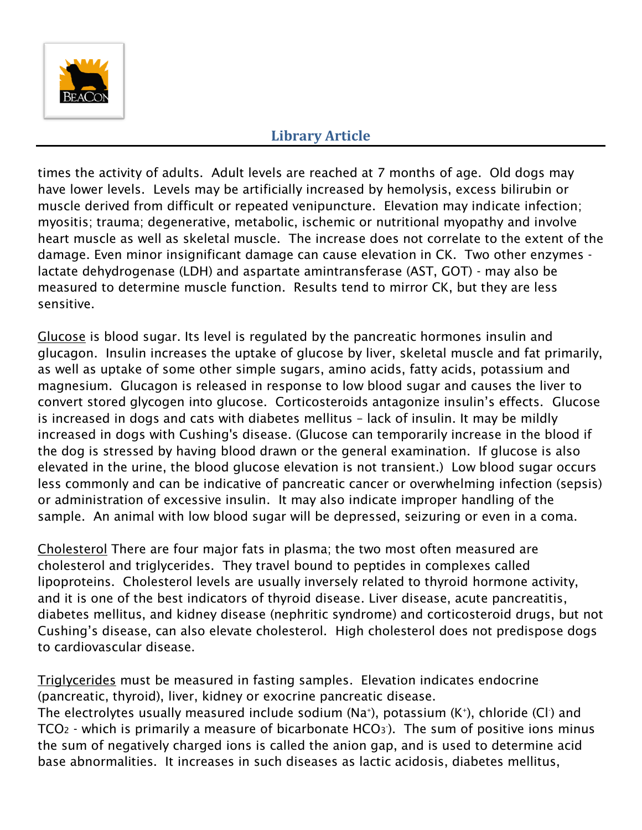

times the activity of adults. Adult levels are reached at 7 months of age. Old dogs may have lower levels. Levels may be artificially increased by hemolysis, excess bilirubin or muscle derived from difficult or repeated venipuncture. Elevation may indicate infection; myositis; trauma; degenerative, metabolic, ischemic or nutritional myopathy and involve heart muscle as well as skeletal muscle. The increase does not correlate to the extent of the damage. Even minor insignificant damage can cause elevation in CK. Two other enzymes lactate dehydrogenase (LDH) and aspartate amintransferase (AST, GOT) - may also be measured to determine muscle function. Results tend to mirror CK, but they are less sensitive.

Glucose is blood sugar. Its level is regulated by the pancreatic hormones insulin and glucagon. Insulin increases the uptake of glucose by liver, skeletal muscle and fat primarily, as well as uptake of some other simple sugars, amino acids, fatty acids, potassium and magnesium. Glucagon is released in response to low blood sugar and causes the liver to convert stored glycogen into glucose. Corticosteroids antagonize insulin's effects. Glucose is increased in dogs and cats with diabetes mellitus – lack of insulin. It may be mildly increased in dogs with Cushing's disease. (Glucose can temporarily increase in the blood if the dog is stressed by having blood drawn or the general examination. If glucose is also elevated in the urine, the blood glucose elevation is not transient.) Low blood sugar occurs less commonly and can be indicative of pancreatic cancer or overwhelming infection (sepsis) or administration of excessive insulin. It may also indicate improper handling of the sample. An animal with low blood sugar will be depressed, seizuring or even in a coma.

Cholesterol There are four major fats in plasma; the two most often measured are cholesterol and triglycerides. They travel bound to peptides in complexes called lipoproteins. Cholesterol levels are usually inversely related to thyroid hormone activity, and it is one of the best indicators of thyroid disease. Liver disease, acute pancreatitis, diabetes mellitus, and kidney disease (nephritic syndrome) and corticosteroid drugs, but not Cushing's disease, can also elevate cholesterol. High cholesterol does not predispose dogs to cardiovascular disease.

Triglycerides must be measured in fasting samples. Elevation indicates endocrine (pancreatic, thyroid), liver, kidney or exocrine pancreatic disease. The electrolytes usually measured include sodium (Na<sup>+</sup>), potassium (K<sup>+</sup>), chloride (Cl<sup>.</sup>) and TCO $_2$  - which is primarily a measure of bicarbonate HCO $_3$ ). The sum of positive ions minus the sum of negatively charged ions is called the anion gap, and is used to determine acid base abnormalities. It increases in such diseases as lactic acidosis, diabetes mellitus,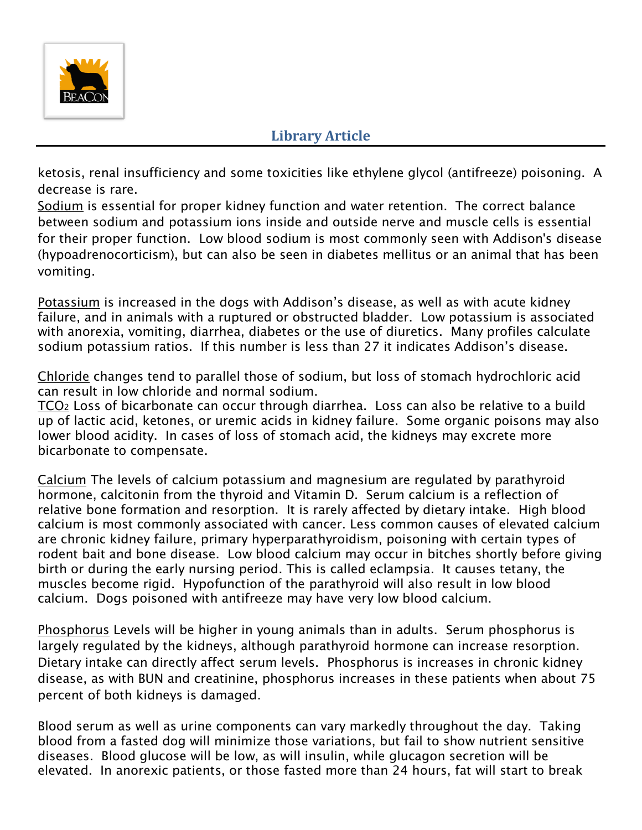

ketosis, renal insufficiency and some toxicities like ethylene glycol (antifreeze) poisoning. A decrease is rare.

Sodium is essential for proper kidney function and water retention. The correct balance between sodium and potassium ions inside and outside nerve and muscle cells is essential for their proper function. Low blood sodium is most commonly seen with Addison's disease (hypoadrenocorticism), but can also be seen in diabetes mellitus or an animal that has been vomiting.

Potassium is increased in the dogs with Addison's disease, as well as with acute kidney failure, and in animals with a ruptured or obstructed bladder. Low potassium is associated with anorexia, vomiting, diarrhea, diabetes or the use of diuretics. Many profiles calculate sodium potassium ratios. If this number is less than 27 it indicates Addison's disease.

Chloride changes tend to parallel those of sodium, but loss of stomach hydrochloric acid can result in low chloride and normal sodium.

TCO<sup>2</sup> Loss of bicarbonate can occur through diarrhea. Loss can also be relative to a build up of lactic acid, ketones, or uremic acids in kidney failure. Some organic poisons may also lower blood acidity. In cases of loss of stomach acid, the kidneys may excrete more bicarbonate to compensate.

Calcium The levels of calcium potassium and magnesium are regulated by parathyroid hormone, calcitonin from the thyroid and Vitamin D. Serum calcium is a reflection of relative bone formation and resorption. It is rarely affected by dietary intake. High blood calcium is most commonly associated with cancer. Less common causes of elevated calcium are chronic kidney failure, primary hyperparathyroidism, poisoning with certain types of rodent bait and bone disease. Low blood calcium may occur in bitches shortly before giving birth or during the early nursing period. This is called eclampsia. It causes tetany, the muscles become rigid. Hypofunction of the parathyroid will also result in low blood calcium. Dogs poisoned with antifreeze may have very low blood calcium.

Phosphorus Levels will be higher in young animals than in adults. Serum phosphorus is largely regulated by the kidneys, although parathyroid hormone can increase resorption. Dietary intake can directly affect serum levels. Phosphorus is increases in chronic kidney disease, as with BUN and creatinine, phosphorus increases in these patients when about 75 percent of both kidneys is damaged.

Blood serum as well as urine components can vary markedly throughout the day. Taking blood from a fasted dog will minimize those variations, but fail to show nutrient sensitive diseases. Blood glucose will be low, as will insulin, while glucagon secretion will be elevated. In anorexic patients, or those fasted more than 24 hours, fat will start to break